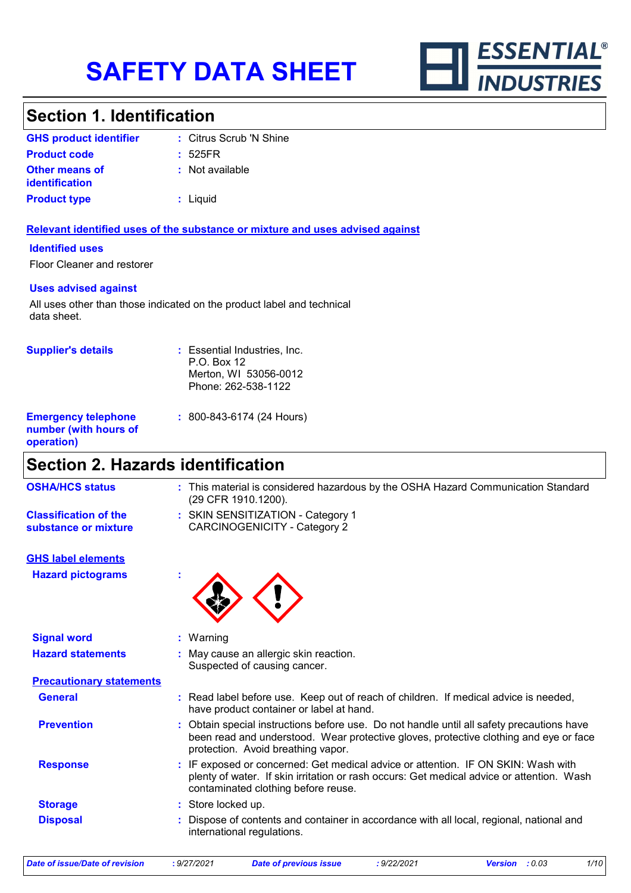

# **Section 1. Identification**

| <b>GHS product identifier</b>                  | : Citrus Scrub 'N Shine |
|------------------------------------------------|-------------------------|
| <b>Product code</b>                            | : 525FR                 |
| <b>Other means of</b><br><i>identification</i> | : Not available         |
|                                                |                         |
| <b>Product type</b>                            | $:$ Liquid              |

#### **Relevant identified uses of the substance or mixture and uses advised against**

#### **Identified uses**

Floor Cleaner and restorer

#### **Uses advised against**

All uses other than those indicated on the product label and technical data sheet.

| <b>Supplier's details</b>                                         | : Essential Industries, Inc.<br>P.O. Box 12<br>Merton, WI 53056-0012<br>Phone: 262-538-1122 |
|-------------------------------------------------------------------|---------------------------------------------------------------------------------------------|
| <b>Emergency telephone</b><br>number (with hours of<br>operation) | $: 800 - 843 - 6174$ (24 Hours)                                                             |

# **Section 2. Hazards identification**

| <b>OSHA/HCS status</b>                               | : This material is considered hazardous by the OSHA Hazard Communication Standard<br>(29 CFR 1910.1200). |
|------------------------------------------------------|----------------------------------------------------------------------------------------------------------|
| <b>Classification of the</b><br>substance or mixture | : SKIN SENSITIZATION - Category 1<br>CARCINOGENICITY - Category 2                                        |

#### **GHS label elements**

**Hazard pictograms :**



| <b>Signal word</b>              | $:$ Warning                                                                                                                                                                                                              |
|---------------------------------|--------------------------------------------------------------------------------------------------------------------------------------------------------------------------------------------------------------------------|
| <b>Hazard statements</b>        | : May cause an allergic skin reaction.<br>Suspected of causing cancer.                                                                                                                                                   |
| <b>Precautionary statements</b> |                                                                                                                                                                                                                          |
| <b>General</b>                  | : Read label before use. Keep out of reach of children. If medical advice is needed,<br>have product container or label at hand.                                                                                         |
| <b>Prevention</b>               | : Obtain special instructions before use. Do not handle until all safety precautions have<br>been read and understood. Wear protective gloves, protective clothing and eye or face<br>protection. Avoid breathing vapor. |
| <b>Response</b>                 | : IF exposed or concerned: Get medical advice or attention. IF ON SKIN: Wash with<br>plenty of water. If skin irritation or rash occurs: Get medical advice or attention. Wash<br>contaminated clothing before reuse.    |
| <b>Storage</b>                  | : Store locked up.                                                                                                                                                                                                       |
| <b>Disposal</b>                 | : Dispose of contents and container in accordance with all local, regional, national and<br>international regulations.                                                                                                   |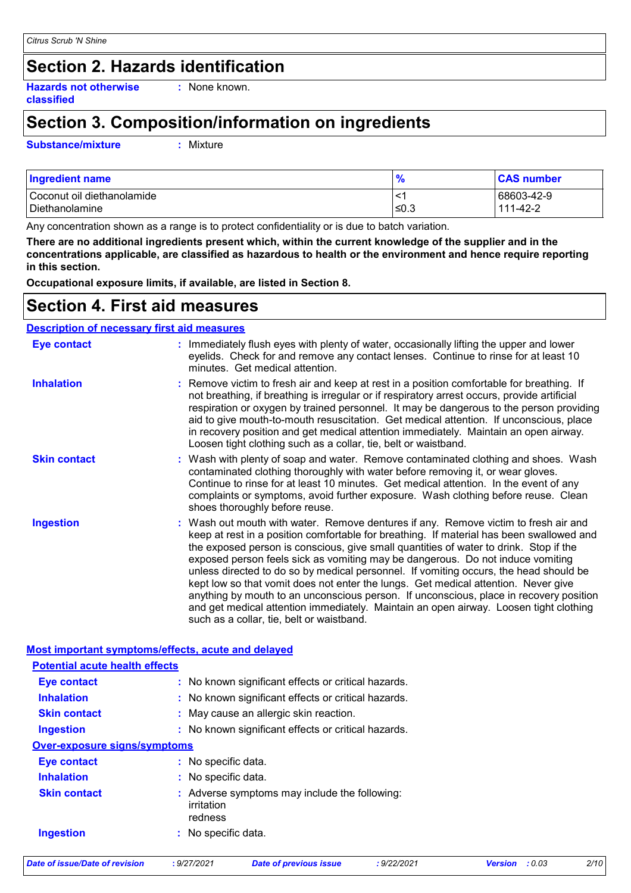# **Section 2. Hazards identification**

**Hazards not otherwise classified :** None known.

### **Section 3. Composition/information on ingredients**

**Substance/mixture :**

: Mixture

| <b>Ingredient name</b>                       | $\bullet$<br>70 | <b>CAS number</b>      |
|----------------------------------------------|-----------------|------------------------|
| Coconut oil diethanolamide<br>Diethanolamine | ≤0.3            | 68603-42-9<br>111-42-2 |
|                                              |                 |                        |

Any concentration shown as a range is to protect confidentiality or is due to batch variation.

**There are no additional ingredients present which, within the current knowledge of the supplier and in the concentrations applicable, are classified as hazardous to health or the environment and hence require reporting in this section.**

**Occupational exposure limits, if available, are listed in Section 8.**

### **Section 4. First aid measures**

#### Wash out mouth with water. Remove dentures if any. Remove victim to fresh air and keep at rest in a position comfortable for breathing. If material has been swallowed and the exposed person is conscious, give small quantities of water to drink. Stop if the exposed person feels sick as vomiting may be dangerous. Do not induce vomiting unless directed to do so by medical personnel. If vomiting occurs, the head should be kept low so that vomit does not enter the lungs. Get medical attention. Never give anything by mouth to an unconscious person. If unconscious, place in recovery position and get medical attention immediately. Maintain an open airway. Loosen tight clothing such as a collar, tie, belt or waistband. **:** Immediately flush eyes with plenty of water, occasionally lifting the upper and lower eyelids. Check for and remove any contact lenses. Continue to rinse for at least 10 minutes. Get medical attention. Wash with plenty of soap and water. Remove contaminated clothing and shoes. Wash **:** contaminated clothing thoroughly with water before removing it, or wear gloves. Continue to rinse for at least 10 minutes. Get medical attention. In the event of any complaints or symptoms, avoid further exposure. Wash clothing before reuse. Clean shoes thoroughly before reuse. Remove victim to fresh air and keep at rest in a position comfortable for breathing. If **:** not breathing, if breathing is irregular or if respiratory arrest occurs, provide artificial respiration or oxygen by trained personnel. It may be dangerous to the person providing aid to give mouth-to-mouth resuscitation. Get medical attention. If unconscious, place in recovery position and get medical attention immediately. Maintain an open airway. Loosen tight clothing such as a collar, tie, belt or waistband. **Eye contact Skin contact Inhalation Ingestion : Description of necessary first aid measures**

#### **Most important symptoms/effects, acute and delayed**

| Date of issue/Date of revision        | : 9/27/2021           | <b>Date of previous issue</b>                       | : 9/22/2021 | <b>Version</b> : 0.03 | 2/10 |
|---------------------------------------|-----------------------|-----------------------------------------------------|-------------|-----------------------|------|
| <b>Ingestion</b>                      | : No specific data.   |                                                     |             |                       |      |
| <b>Skin contact</b>                   | irritation<br>redness | : Adverse symptoms may include the following:       |             |                       |      |
| <b>Inhalation</b>                     | : No specific data.   |                                                     |             |                       |      |
| <b>Eye contact</b>                    | : No specific data.   |                                                     |             |                       |      |
| <b>Over-exposure signs/symptoms</b>   |                       |                                                     |             |                       |      |
| <b>Ingestion</b>                      |                       | : No known significant effects or critical hazards. |             |                       |      |
| <b>Skin contact</b>                   |                       | : May cause an allergic skin reaction.              |             |                       |      |
| <b>Inhalation</b>                     |                       | : No known significant effects or critical hazards. |             |                       |      |
| <b>Eye contact</b>                    |                       | : No known significant effects or critical hazards. |             |                       |      |
| <b>Potential acute health effects</b> |                       |                                                     |             |                       |      |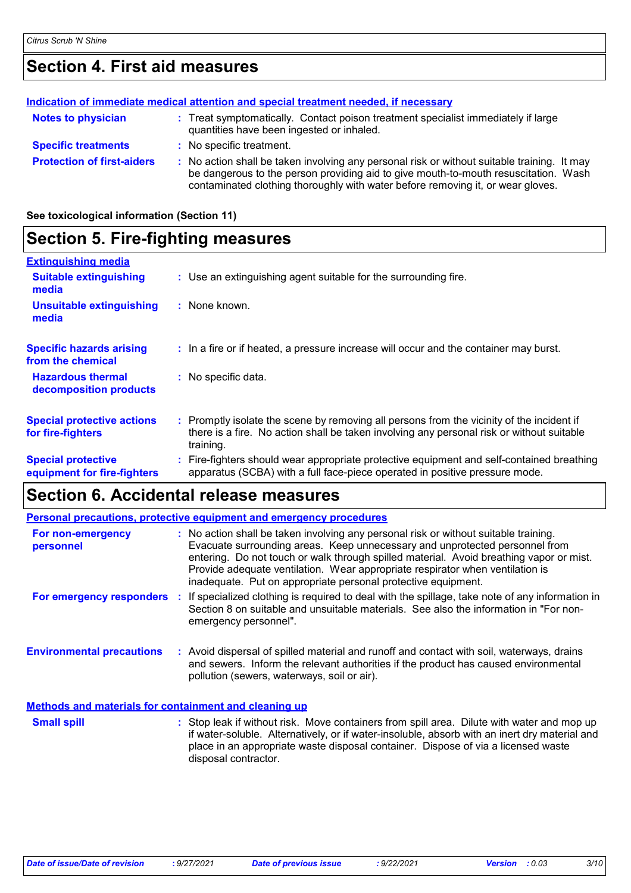# **Section 4. First aid measures**

|                                   | Indication of immediate medical attention and special treatment needed, if necessary                                                                                                                                                                                  |
|-----------------------------------|-----------------------------------------------------------------------------------------------------------------------------------------------------------------------------------------------------------------------------------------------------------------------|
| <b>Notes to physician</b>         | : Treat symptomatically. Contact poison treatment specialist immediately if large<br>quantities have been ingested or inhaled.                                                                                                                                        |
| <b>Specific treatments</b>        | : No specific treatment.                                                                                                                                                                                                                                              |
| <b>Protection of first-aiders</b> | : No action shall be taken involving any personal risk or without suitable training. It may<br>be dangerous to the person providing aid to give mouth-to-mouth resuscitation. Wash<br>contaminated clothing thoroughly with water before removing it, or wear gloves. |

**See toxicological information (Section 11)**

### **Section 5. Fire-fighting measures**

| <b>Extinguishing media</b>                               |                                                                                                                                                                                                     |
|----------------------------------------------------------|-----------------------------------------------------------------------------------------------------------------------------------------------------------------------------------------------------|
| <b>Suitable extinguishing</b><br>media                   | : Use an extinguishing agent suitable for the surrounding fire.                                                                                                                                     |
| <b>Unsuitable extinguishing</b><br>media                 | : None known.                                                                                                                                                                                       |
| <b>Specific hazards arising</b><br>from the chemical     | : In a fire or if heated, a pressure increase will occur and the container may burst.                                                                                                               |
| <b>Hazardous thermal</b><br>decomposition products       | : No specific data.                                                                                                                                                                                 |
| <b>Special protective actions</b><br>for fire-fighters   | : Promptly isolate the scene by removing all persons from the vicinity of the incident if<br>there is a fire. No action shall be taken involving any personal risk or without suitable<br>training. |
| <b>Special protective</b><br>equipment for fire-fighters | : Fire-fighters should wear appropriate protective equipment and self-contained breathing<br>apparatus (SCBA) with a full face-piece operated in positive pressure mode.                            |

### **Section 6. Accidental release measures**

|                                  | Personal precautions, protective equipment and emergency procedures                                                                                                                                                                                                                                                                                                                                              |
|----------------------------------|------------------------------------------------------------------------------------------------------------------------------------------------------------------------------------------------------------------------------------------------------------------------------------------------------------------------------------------------------------------------------------------------------------------|
| For non-emergency<br>personnel   | : No action shall be taken involving any personal risk or without suitable training.<br>Evacuate surrounding areas. Keep unnecessary and unprotected personnel from<br>entering. Do not touch or walk through spilled material. Avoid breathing vapor or mist.<br>Provide adequate ventilation. Wear appropriate respirator when ventilation is<br>inadequate. Put on appropriate personal protective equipment. |
| For emergency responders         | : If specialized clothing is required to deal with the spillage, take note of any information in<br>Section 8 on suitable and unsuitable materials. See also the information in "For non-<br>emergency personnel".                                                                                                                                                                                               |
| <b>Environmental precautions</b> | : Avoid dispersal of spilled material and runoff and contact with soil, waterways, drains<br>and sewers. Inform the relevant authorities if the product has caused environmental<br>pollution (sewers, waterways, soil or air).                                                                                                                                                                                  |

#### **Methods and materials for containment and cleaning up**

Stop leak if without risk. Move containers from spill area. Dilute with water and mop up if water-soluble. Alternatively, or if water-insoluble, absorb with an inert dry material and place in an appropriate waste disposal container. Dispose of via a licensed waste disposal contractor. **Small spill :**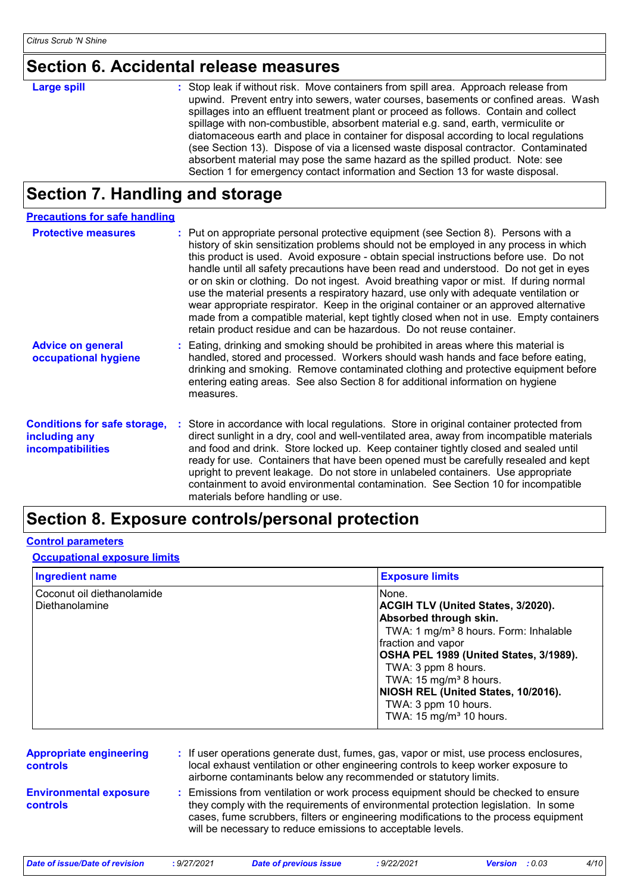# **Section 6. Accidental release measures**

| <b>Large spill</b> | : Stop leak if without risk. Move containers from spill area. Approach release from<br>upwind. Prevent entry into sewers, water courses, basements or confined areas. Wash |
|--------------------|----------------------------------------------------------------------------------------------------------------------------------------------------------------------------|
|                    | spillages into an effluent treatment plant or proceed as follows. Contain and collect                                                                                      |
|                    | spillage with non-combustible, absorbent material e.g. sand, earth, vermiculite or                                                                                         |
|                    | diatomaceous earth and place in container for disposal according to local regulations                                                                                      |
|                    | (see Section 13). Dispose of via a licensed waste disposal contractor. Contaminated                                                                                        |
|                    | absorbent material may pose the same hazard as the spilled product. Note: see                                                                                              |
|                    | Section 1 for emergency contact information and Section 13 for waste disposal.                                                                                             |

# **Section 7. Handling and storage**

| <b>Precautions for safe handling</b>                                             |                                                                                                                                                                                                                                                                                                                                                                                                                                                                                                                                                                                                                                                                                                                                                                                                            |
|----------------------------------------------------------------------------------|------------------------------------------------------------------------------------------------------------------------------------------------------------------------------------------------------------------------------------------------------------------------------------------------------------------------------------------------------------------------------------------------------------------------------------------------------------------------------------------------------------------------------------------------------------------------------------------------------------------------------------------------------------------------------------------------------------------------------------------------------------------------------------------------------------|
| <b>Protective measures</b>                                                       | Put on appropriate personal protective equipment (see Section 8). Persons with a<br>history of skin sensitization problems should not be employed in any process in which<br>this product is used. Avoid exposure - obtain special instructions before use. Do not<br>handle until all safety precautions have been read and understood. Do not get in eyes<br>or on skin or clothing. Do not ingest. Avoid breathing vapor or mist. If during normal<br>use the material presents a respiratory hazard, use only with adequate ventilation or<br>wear appropriate respirator. Keep in the original container or an approved alternative<br>made from a compatible material, kept tightly closed when not in use. Empty containers<br>retain product residue and can be hazardous. Do not reuse container. |
| <b>Advice on general</b><br>occupational hygiene                                 | Eating, drinking and smoking should be prohibited in areas where this material is<br>handled, stored and processed. Workers should wash hands and face before eating,<br>drinking and smoking. Remove contaminated clothing and protective equipment before<br>entering eating areas. See also Section 8 for additional information on hygiene<br>measures.                                                                                                                                                                                                                                                                                                                                                                                                                                                |
| <b>Conditions for safe storage,</b><br>including any<br><b>incompatibilities</b> | Store in accordance with local regulations. Store in original container protected from<br>direct sunlight in a dry, cool and well-ventilated area, away from incompatible materials<br>and food and drink. Store locked up. Keep container tightly closed and sealed until<br>ready for use. Containers that have been opened must be carefully resealed and kept<br>upright to prevent leakage. Do not store in unlabeled containers. Use appropriate<br>containment to avoid environmental contamination. See Section 10 for incompatible<br>materials before handling or use.                                                                                                                                                                                                                           |

# **Section 8. Exposure controls/personal protection**

### **Control parameters**

#### **Occupational exposure limits**

| <b>Ingredient name</b>                       | <b>Exposure limits</b>                                                                                                                                                                                                                                                                                                                                             |
|----------------------------------------------|--------------------------------------------------------------------------------------------------------------------------------------------------------------------------------------------------------------------------------------------------------------------------------------------------------------------------------------------------------------------|
| Coconut oil diethanolamide<br>Diethanolamine | None.<br><b>ACGIH TLV (United States, 3/2020).</b><br>Absorbed through skin.<br>TWA: 1 mg/m <sup>3</sup> 8 hours. Form: Inhalable<br>fraction and vapor<br>OSHA PEL 1989 (United States, 3/1989).<br>TWA: 3 ppm 8 hours.<br>TWA: $15 \text{ mg/m}^3$ 8 hours.<br>NIOSH REL (United States, 10/2016).<br>TWA: 3 ppm 10 hours.<br>TWA: $15 \text{ mg/m}^3$ 10 hours. |

| <b>Appropriate engineering</b><br><b>controls</b> | : If user operations generate dust, fumes, gas, vapor or mist, use process enclosures,<br>local exhaust ventilation or other engineering controls to keep worker exposure to<br>airborne contaminants below any recommended or statutory limits.                                                                                |
|---------------------------------------------------|---------------------------------------------------------------------------------------------------------------------------------------------------------------------------------------------------------------------------------------------------------------------------------------------------------------------------------|
| <b>Environmental exposure</b><br><b>controls</b>  | : Emissions from ventilation or work process equipment should be checked to ensure<br>they comply with the requirements of environmental protection legislation. In some<br>cases, fume scrubbers, filters or engineering modifications to the process equipment<br>will be necessary to reduce emissions to acceptable levels. |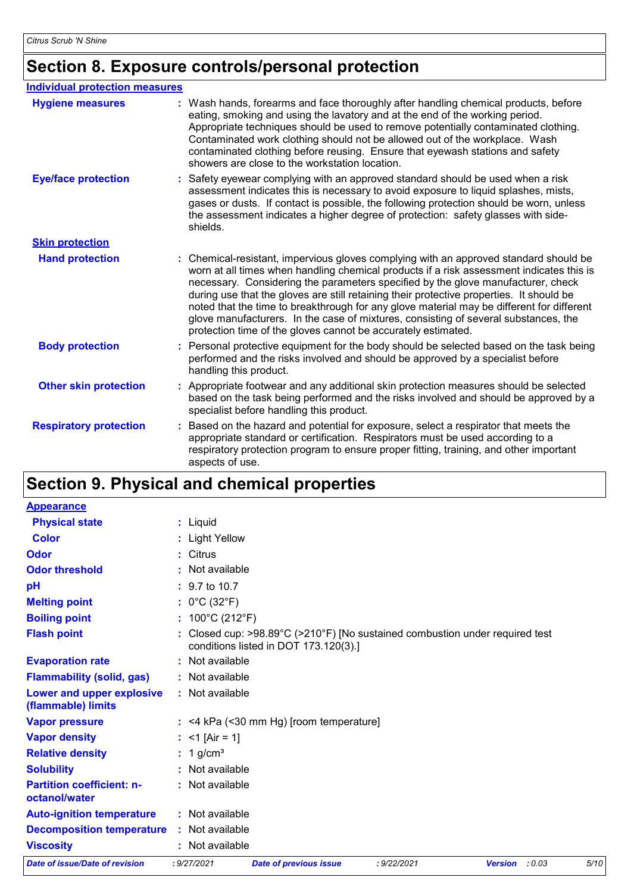# **Section 8. Exposure controls/personal protection**

| <b>Individual protection measures</b> |                                                                                                                                                                                                                                                                                                                                                                                                                                                                                                                                                                                                                        |
|---------------------------------------|------------------------------------------------------------------------------------------------------------------------------------------------------------------------------------------------------------------------------------------------------------------------------------------------------------------------------------------------------------------------------------------------------------------------------------------------------------------------------------------------------------------------------------------------------------------------------------------------------------------------|
| <b>Hygiene measures</b>               | : Wash hands, forearms and face thoroughly after handling chemical products, before<br>eating, smoking and using the lavatory and at the end of the working period.<br>Appropriate techniques should be used to remove potentially contaminated clothing.<br>Contaminated work clothing should not be allowed out of the workplace. Wash<br>contaminated clothing before reusing. Ensure that eyewash stations and safety<br>showers are close to the workstation location.                                                                                                                                            |
| <b>Eye/face protection</b>            | : Safety eyewear complying with an approved standard should be used when a risk<br>assessment indicates this is necessary to avoid exposure to liquid splashes, mists,<br>gases or dusts. If contact is possible, the following protection should be worn, unless<br>the assessment indicates a higher degree of protection: safety glasses with side-<br>shields.                                                                                                                                                                                                                                                     |
| <b>Skin protection</b>                |                                                                                                                                                                                                                                                                                                                                                                                                                                                                                                                                                                                                                        |
| <b>Hand protection</b>                | : Chemical-resistant, impervious gloves complying with an approved standard should be<br>worn at all times when handling chemical products if a risk assessment indicates this is<br>necessary. Considering the parameters specified by the glove manufacturer, check<br>during use that the gloves are still retaining their protective properties. It should be<br>noted that the time to breakthrough for any glove material may be different for different<br>glove manufacturers. In the case of mixtures, consisting of several substances, the<br>protection time of the gloves cannot be accurately estimated. |
| <b>Body protection</b>                | : Personal protective equipment for the body should be selected based on the task being<br>performed and the risks involved and should be approved by a specialist before<br>handling this product.                                                                                                                                                                                                                                                                                                                                                                                                                    |
| <b>Other skin protection</b>          | : Appropriate footwear and any additional skin protection measures should be selected<br>based on the task being performed and the risks involved and should be approved by a<br>specialist before handling this product.                                                                                                                                                                                                                                                                                                                                                                                              |
| <b>Respiratory protection</b>         | : Based on the hazard and potential for exposure, select a respirator that meets the<br>appropriate standard or certification. Respirators must be used according to a<br>respiratory protection program to ensure proper fitting, training, and other important<br>aspects of use.                                                                                                                                                                                                                                                                                                                                    |

# **Section 9. Physical and chemical properties**

| <b>Appearance</b><br><b>Physical state</b>        | : Liquid                             |                                           |             |                                                                                                   |      |
|---------------------------------------------------|--------------------------------------|-------------------------------------------|-------------|---------------------------------------------------------------------------------------------------|------|
| <b>Color</b>                                      | : Light Yellow                       |                                           |             |                                                                                                   |      |
| Odor                                              | : Citrus                             |                                           |             |                                                                                                   |      |
| <b>Odor threshold</b>                             | : Not available                      |                                           |             |                                                                                                   |      |
| pH                                                | $\div$ 9.7 to 10.7                   |                                           |             |                                                                                                   |      |
| <b>Melting point</b>                              | : $0^{\circ}$ C (32 $^{\circ}$ F)    |                                           |             |                                                                                                   |      |
| <b>Boiling point</b>                              | : $100^{\circ}$ C (212 $^{\circ}$ F) |                                           |             |                                                                                                   |      |
| <b>Flash point</b>                                |                                      | conditions listed in DOT 173.120(3).]     |             | : Closed cup: $>98.89^{\circ}$ C ( $>210^{\circ}$ F) [No sustained combustion under required test |      |
| <b>Evaporation rate</b>                           | : Not available                      |                                           |             |                                                                                                   |      |
| <b>Flammability (solid, gas)</b>                  | : Not available                      |                                           |             |                                                                                                   |      |
| Lower and upper explosive<br>(flammable) limits   | : Not available                      |                                           |             |                                                                                                   |      |
| <b>Vapor pressure</b>                             |                                      | $:$ <4 kPa (<30 mm Hg) [room temperature] |             |                                                                                                   |      |
| <b>Vapor density</b>                              | : <1 [Air = 1]                       |                                           |             |                                                                                                   |      |
| <b>Relative density</b>                           | $: 1$ g/cm <sup>3</sup>              |                                           |             |                                                                                                   |      |
| <b>Solubility</b>                                 | : Not available                      |                                           |             |                                                                                                   |      |
| <b>Partition coefficient: n-</b><br>octanol/water | : Not available                      |                                           |             |                                                                                                   |      |
| <b>Auto-ignition temperature</b>                  | : Not available                      |                                           |             |                                                                                                   |      |
| <b>Decomposition temperature</b>                  | : Not available                      |                                           |             |                                                                                                   |      |
| <b>Viscosity</b>                                  | : Not available                      |                                           |             |                                                                                                   |      |
| Date of issue/Date of revision                    | : 9/27/2021                          | <b>Date of previous issue</b>             | : 9/22/2021 | : 0.03<br><b>Version</b>                                                                          | 5/10 |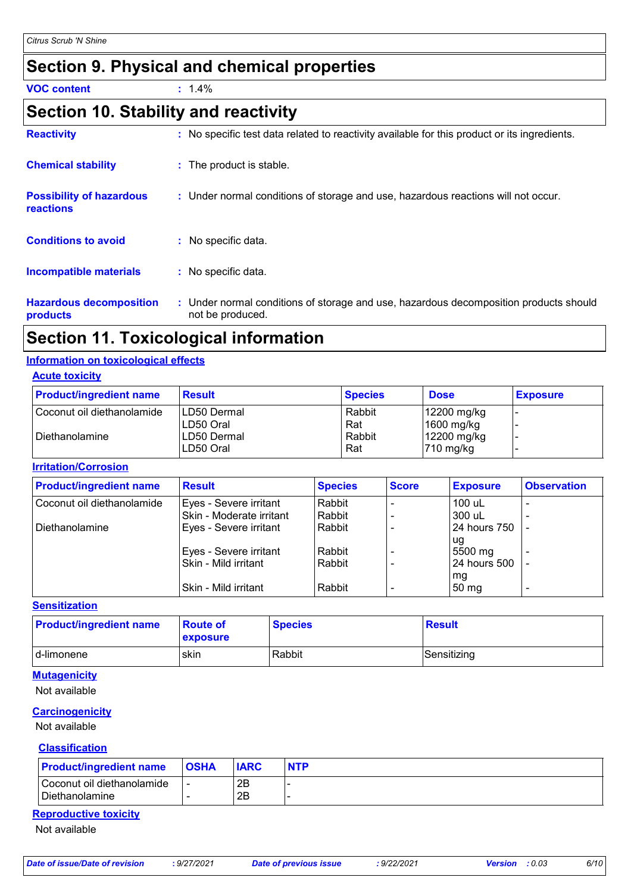# **Section 9. Physical and chemical properties**

**VOC content :** 1.4%

# **Section 10. Stability and reactivity**

| <b>Hazardous decomposition</b><br>products          | : Under normal conditions of storage and use, hazardous decomposition products should<br>not be produced. |
|-----------------------------------------------------|-----------------------------------------------------------------------------------------------------------|
| <b>Incompatible materials</b>                       | No specific data.                                                                                         |
| <b>Conditions to avoid</b>                          | : No specific data.                                                                                       |
| <b>Possibility of hazardous</b><br><b>reactions</b> | : Under normal conditions of storage and use, hazardous reactions will not occur.                         |
| <b>Chemical stability</b>                           | : The product is stable.                                                                                  |
| <b>Reactivity</b>                                   | : No specific test data related to reactivity available for this product or its ingredients.              |

### **Section 11. Toxicological information**

#### **Information on toxicological effects**

| <b>Product/ingredient name</b><br><b>Result</b> |                                                               | <b>Species</b>                 | <b>Dose</b>                                                 | <b>Exposure</b> |
|-------------------------------------------------|---------------------------------------------------------------|--------------------------------|-------------------------------------------------------------|-----------------|
| Coconut oil diethanolamide<br>I Diethanolamine  | ILD50 Dermal<br>LD50 Oral<br><b>ILD50 Dermal</b><br>LD50 Oral | Rabbit<br>Rat<br>Rabbit<br>Rat | $12200$ mg/kg<br>1600 mg/kg<br>$12200$ mg/kg<br>$710$ mg/kg |                 |

#### **Irritation/Corrosion**

| <b>Product/ingredient name</b> | <b>Result</b>            | <b>Species</b> | <b>Score</b> | <b>Exposure</b>     | <b>Observation</b>       |
|--------------------------------|--------------------------|----------------|--------------|---------------------|--------------------------|
| Coconut oil diethanolamide     | Eyes - Severe irritant   | Rabbit         |              | 100 uL              |                          |
|                                | Skin - Moderate irritant | Rabbit         |              | 300 uL              |                          |
| Diethanolamine                 | Eyes - Severe irritant   | Rabbit         |              | <b>24 hours 750</b> |                          |
|                                |                          |                |              | ug                  |                          |
|                                | Eyes - Severe irritant   | Rabbit         |              | 5500 mg             | $\overline{\phantom{a}}$ |
|                                | lSkin - Mild irritant    | l Rabbit       |              | 24 hours 500        |                          |
|                                |                          |                |              | mg                  |                          |
|                                | Skin - Mild irritant     | Rabbit         |              | 50 mg               |                          |

#### **Sensitization**

| <b>Product/ingredient name</b> | <b>Route of</b><br><b>Lexposure</b> | <b>Species</b> | Result      |
|--------------------------------|-------------------------------------|----------------|-------------|
| d-limonene                     | skin                                | Rabbit         | Sensitizing |

#### **Mutagenicity**

Not available

#### **Carcinogenicity**

Not available

#### **Classification**

| <b>Product/ingredient name</b>               | <b>OSHA</b>              | <b>IARC</b> | <b>NTP</b> |
|----------------------------------------------|--------------------------|-------------|------------|
| Coconut oil diethanolamide<br>Diethanolamine | $\overline{\phantom{0}}$ | 2B<br>2B    |            |

#### **Reproductive toxicity**

Not available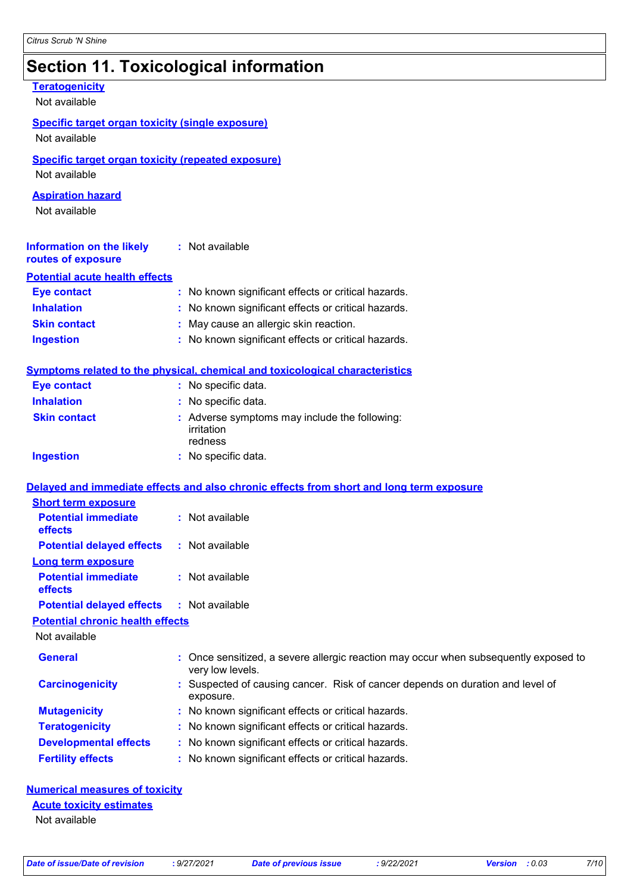## **Section 11. Toxicological information**

| <b>Teratogenicity</b><br>Not available                                     |                                                                                                          |
|----------------------------------------------------------------------------|----------------------------------------------------------------------------------------------------------|
| <b>Specific target organ toxicity (single exposure)</b><br>Not available   |                                                                                                          |
| <b>Specific target organ toxicity (repeated exposure)</b><br>Not available |                                                                                                          |
| <b>Aspiration hazard</b><br>Not available                                  |                                                                                                          |
| <b>Information on the likely</b><br>routes of exposure                     | : Not available                                                                                          |
| <b>Potential acute health effects</b>                                      |                                                                                                          |
| <b>Eye contact</b>                                                         | : No known significant effects or critical hazards.                                                      |
| <b>Inhalation</b>                                                          | : No known significant effects or critical hazards.                                                      |
| <b>Skin contact</b>                                                        | : May cause an allergic skin reaction.                                                                   |
| <b>Ingestion</b>                                                           | : No known significant effects or critical hazards.                                                      |
|                                                                            | Symptoms related to the physical, chemical and toxicological characteristics                             |
| <b>Eye contact</b>                                                         | : No specific data.                                                                                      |
| <b>Inhalation</b>                                                          | : No specific data.                                                                                      |
| <b>Skin contact</b>                                                        | : Adverse symptoms may include the following:<br>irritation<br>redness                                   |
| <b>Ingestion</b>                                                           | : No specific data.                                                                                      |
|                                                                            | Delayed and immediate effects and also chronic effects from short and long term exposure                 |
| <b>Short term exposure</b>                                                 |                                                                                                          |
| <b>Potential immediate</b><br>effects                                      | : Not available                                                                                          |
| <b>Potential delayed effects : Not available</b>                           |                                                                                                          |
| <b>Long term exposure</b>                                                  |                                                                                                          |
| <b>Potential immediate</b><br>effects                                      | : Not available                                                                                          |
| <b>Potential delayed effects</b>                                           | : Not available                                                                                          |
| <b>Potential chronic health effects</b>                                    |                                                                                                          |
| Not available                                                              |                                                                                                          |
| <b>General</b>                                                             | : Once sensitized, a severe allergic reaction may occur when subsequently exposed to<br>very low levels. |
| <b>Carcinogenicity</b>                                                     | : Suspected of causing cancer. Risk of cancer depends on duration and level of<br>exposure.              |
| <b>Mutagenicity</b>                                                        | : No known significant effects or critical hazards.                                                      |
| <b>Teratogenicity</b>                                                      | : No known significant effects or critical hazards.                                                      |
| <b>Developmental effects</b>                                               | : No known significant effects or critical hazards.                                                      |
| <b>Fertility effects</b>                                                   | : No known significant effects or critical hazards.                                                      |
| <b>Numerical measures of toxicity</b><br><b>Acute toxicity estimates</b>   |                                                                                                          |

Not available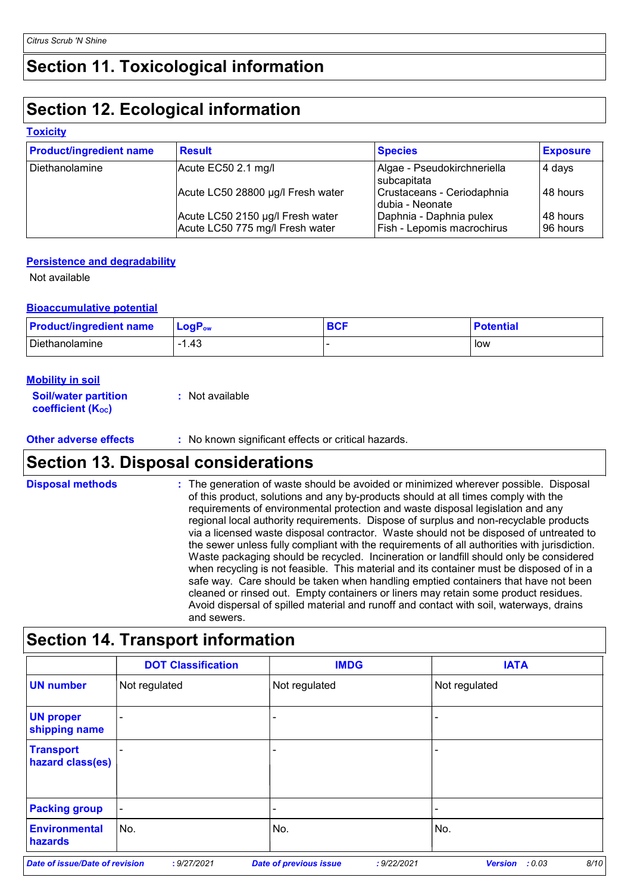# **Section 11. Toxicological information**

# **Section 12. Ecological information**

#### **Toxicity**

| <b>Product/ingredient name</b> | <b>Result</b>                                                       | <b>Species</b>                                        | <b>Exposure</b>       |
|--------------------------------|---------------------------------------------------------------------|-------------------------------------------------------|-----------------------|
| Diethanolamine                 | Acute EC50 2.1 mg/l                                                 | Algae - Pseudokirchneriella<br>subcapitata            | 4 days                |
|                                | Acute LC50 28800 µg/l Fresh water                                   | Crustaceans - Ceriodaphnia<br>dubia - Neonate         | 48 hours              |
|                                | Acute LC50 2150 µg/l Fresh water<br>Acute LC50 775 mg/l Fresh water | Daphnia - Daphnia pulex<br>Fish - Lepomis macrochirus | 148 hours<br>96 hours |

#### **Persistence and degradability**

Not available

#### **Bioaccumulative potential**

| <b>Product/ingredient name</b> | $\mathsf{LoaP}_\mathsf{ow}$ | <b>BCF</b> | <b>Potential</b> |
|--------------------------------|-----------------------------|------------|------------------|
| Diethanolamine                 | 1.43                        |            | low              |

#### **Mobility in soil**

| <b>Soil/water partition</b>    | : Not available |
|--------------------------------|-----------------|
| coefficient (K <sub>oc</sub> ) |                 |

**Other adverse effects** : No known significant effects or critical hazards.

### **Section 13. Disposal considerations**

| <b>Disposal methods</b> | : The generation of waste should be avoided or minimized wherever possible. Disposal<br>of this product, solutions and any by-products should at all times comply with the<br>requirements of environmental protection and waste disposal legislation and any<br>regional local authority requirements. Dispose of surplus and non-recyclable products<br>via a licensed waste disposal contractor. Waste should not be disposed of untreated to<br>the sewer unless fully compliant with the requirements of all authorities with jurisdiction.<br>Waste packaging should be recycled. Incineration or landfill should only be considered<br>when recycling is not feasible. This material and its container must be disposed of in a<br>safe way. Care should be taken when handling emptied containers that have not been<br>cleaned or rinsed out. Empty containers or liners may retain some product residues.<br>Avoid dispersal of spilled material and runoff and contact with soil, waterways, drains<br>and sewers. |
|-------------------------|-------------------------------------------------------------------------------------------------------------------------------------------------------------------------------------------------------------------------------------------------------------------------------------------------------------------------------------------------------------------------------------------------------------------------------------------------------------------------------------------------------------------------------------------------------------------------------------------------------------------------------------------------------------------------------------------------------------------------------------------------------------------------------------------------------------------------------------------------------------------------------------------------------------------------------------------------------------------------------------------------------------------------------|
|-------------------------|-------------------------------------------------------------------------------------------------------------------------------------------------------------------------------------------------------------------------------------------------------------------------------------------------------------------------------------------------------------------------------------------------------------------------------------------------------------------------------------------------------------------------------------------------------------------------------------------------------------------------------------------------------------------------------------------------------------------------------------------------------------------------------------------------------------------------------------------------------------------------------------------------------------------------------------------------------------------------------------------------------------------------------|

# **Section 14. Transport information**

|                                       | <b>DOT Classification</b> | <b>IMDG</b>                                  | <b>IATA</b>                      |
|---------------------------------------|---------------------------|----------------------------------------------|----------------------------------|
| <b>UN number</b>                      | Not regulated             | Not regulated                                | Not regulated                    |
| <b>UN proper</b><br>shipping name     | -                         |                                              |                                  |
| <b>Transport</b><br>hazard class(es)  |                           |                                              |                                  |
| <b>Packing group</b>                  | $\blacksquare$            |                                              |                                  |
| <b>Environmental</b><br>hazards       | No.                       | No.                                          | No.                              |
| <b>Date of issue/Date of revision</b> | : 9/27/2021               | : 9/22/2021<br><b>Date of previous issue</b> | 8/10<br><b>Version</b><br>: 0.03 |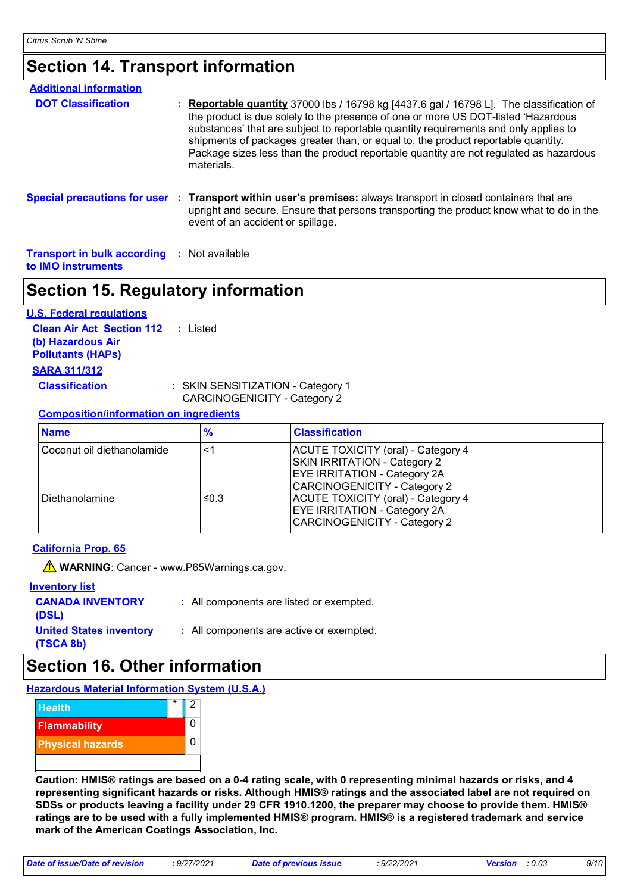## **Section 14. Transport information**

| <b>Additional information</b>                      |                                                                                                                                                                                                                                                                                                                                                                                                                                                                    |
|----------------------------------------------------|--------------------------------------------------------------------------------------------------------------------------------------------------------------------------------------------------------------------------------------------------------------------------------------------------------------------------------------------------------------------------------------------------------------------------------------------------------------------|
| <b>DOT Classification</b>                          | : Reportable quantity 37000 lbs / 16798 kg [4437.6 gal / 16798 L]. The classification of<br>the product is due solely to the presence of one or more US DOT-listed 'Hazardous<br>substances' that are subject to reportable quantity requirements and only applies to<br>shipments of packages greater than, or equal to, the product reportable quantity.<br>Package sizes less than the product reportable quantity are not regulated as hazardous<br>materials. |
|                                                    | Special precautions for user : Transport within user's premises: always transport in closed containers that are<br>upright and secure. Ensure that persons transporting the product know what to do in the<br>event of an accident or spillage.                                                                                                                                                                                                                    |
| <b>Transport in bulk according : Not available</b> |                                                                                                                                                                                                                                                                                                                                                                                                                                                                    |

**to IMO instruments**

### **Section 15. Regulatory information**

#### **U.S. Federal regulations**

| <b>Clean Air Act Section 112</b> : Listed |                                                                          |
|-------------------------------------------|--------------------------------------------------------------------------|
| (b) Hazardous Air                         |                                                                          |
| <b>Pollutants (HAPS)</b>                  |                                                                          |
| <b>SARA 311/312</b>                       |                                                                          |
| <b>Classification</b>                     | : SKIN SENSITIZATION - Category 1<br><b>CARCINOGENICITY - Category 2</b> |

#### **Composition/information on ingredients**

| <b>Classification</b>                                                                                                                                                                                                                |                                     |
|--------------------------------------------------------------------------------------------------------------------------------------------------------------------------------------------------------------------------------------|-------------------------------------|
| ACUTE TOXICITY (oral) - Category 4<br>SKIN IRRITATION - Category 2<br><b>EYE IRRITATION - Category 2A</b><br><b>CARCINOGENICITY - Category 2</b><br><b>ACUTE TOXICITY (oral) - Category 4</b><br><b>EYE IRRITATION - Category 2A</b> |                                     |
|                                                                                                                                                                                                                                      | <b>CARCINOGENICITY - Category 2</b> |

#### **California Prop. 65**

**A** WARNING: Cancer - www.P65Warnings.ca.gov.

#### **Inventory list**

| <b>CANADA INVENTORY</b><br>(DSL)            | : All components are listed or exempted. |
|---------------------------------------------|------------------------------------------|
| <b>United States inventory</b><br>(TSCA 8b) | : All components are active or exempted. |

### **Section 16. Other information**

**Hazardous Material Information System (U.S.A.)**



**Caution: HMIS® ratings are based on a 0-4 rating scale, with 0 representing minimal hazards or risks, and 4 representing significant hazards or risks. Although HMIS® ratings and the associated label are not required on SDSs or products leaving a facility under 29 CFR 1910.1200, the preparer may choose to provide them. HMIS® ratings are to be used with a fully implemented HMIS® program. HMIS® is a registered trademark and service mark of the American Coatings Association, Inc.**